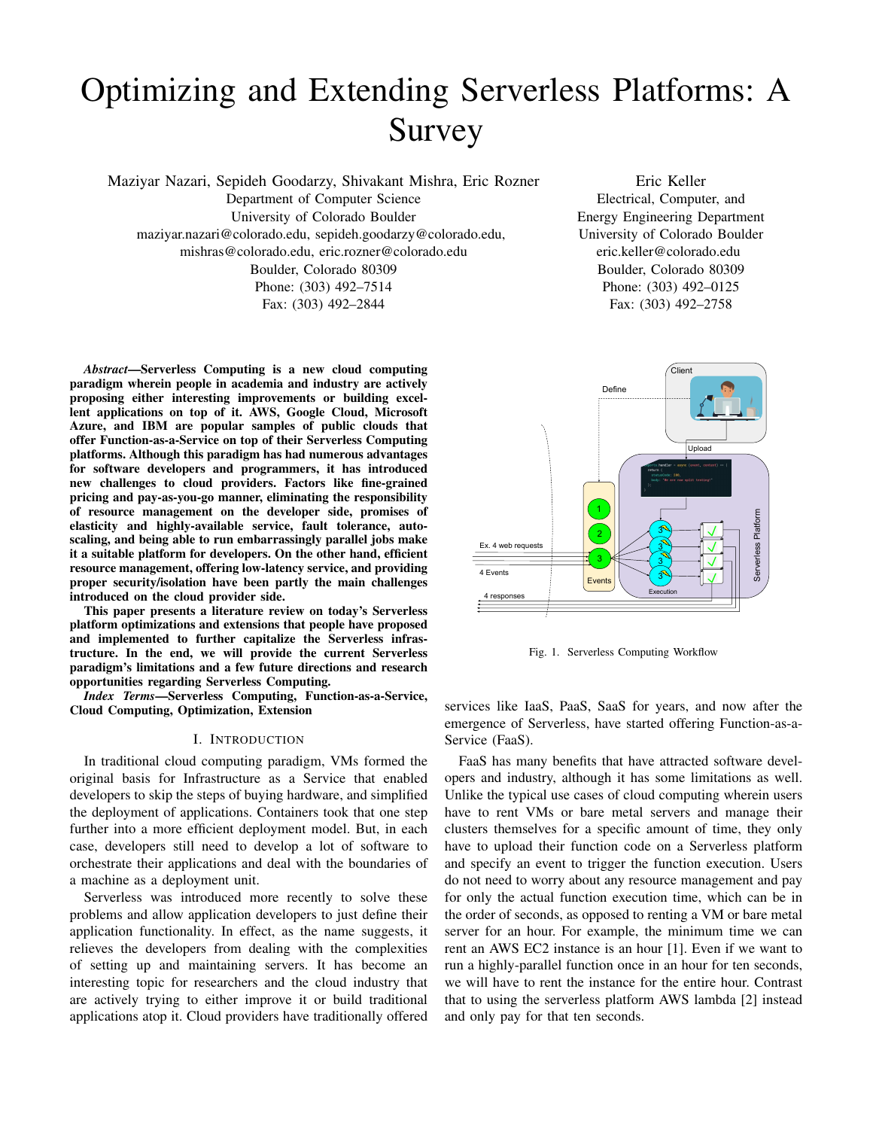# Optimizing and Extending Serverless Platforms: A Survey

Maziyar Nazari, Sepideh Goodarzy, Shivakant Mishra, Eric Rozner

Department of Computer Science University of Colorado Boulder maziyar.nazari@colorado.edu, sepideh.goodarzy@colorado.edu, mishras@colorado.edu, eric.rozner@colorado.edu Boulder, Colorado 80309 Phone: (303) 492–7514 Fax: (303) 492–2844

*Abstract*—Serverless Computing is a new cloud computing paradigm wherein people in academia and industry are actively proposing either interesting improvements or building excellent applications on top of it. AWS, Google Cloud, Microsoft Azure, and IBM are popular samples of public clouds that offer Function-as-a-Service on top of their Serverless Computing platforms. Although this paradigm has had numerous advantages for software developers and programmers, it has introduced new challenges to cloud providers. Factors like fine-grained pricing and pay-as-you-go manner, eliminating the responsibility of resource management on the developer side, promises of elasticity and highly-available service, fault tolerance, autoscaling, and being able to run embarrassingly parallel jobs make it a suitable platform for developers. On the other hand, efficient resource management, offering low-latency service, and providing proper security/isolation have been partly the main challenges introduced on the cloud provider side.

This paper presents a literature review on today's Serverless platform optimizations and extensions that people have proposed and implemented to further capitalize the Serverless infrastructure. In the end, we will provide the current Serverless paradigm's limitations and a few future directions and research opportunities regarding Serverless Computing.

*Index Terms*—Serverless Computing, Function-as-a-Service, Cloud Computing, Optimization, Extension

## I. INTRODUCTION

In traditional cloud computing paradigm, VMs formed the original basis for Infrastructure as a Service that enabled developers to skip the steps of buying hardware, and simplified the deployment of applications. Containers took that one step further into a more efficient deployment model. But, in each case, developers still need to develop a lot of software to orchestrate their applications and deal with the boundaries of a machine as a deployment unit.

Serverless was introduced more recently to solve these problems and allow application developers to just define their application functionality. In effect, as the name suggests, it relieves the developers from dealing with the complexities of setting up and maintaining servers. It has become an interesting topic for researchers and the cloud industry that are actively trying to either improve it or build traditional applications atop it. Cloud providers have traditionally offered

Eric Keller Electrical, Computer, and Energy Engineering Department University of Colorado Boulder eric.keller@colorado.edu Boulder, Colorado 80309 Phone: (303) 492–0125 Fax: (303) 492–2758



Fig. 1. Serverless Computing Workflow

services like IaaS, PaaS, SaaS for years, and now after the emergence of Serverless, have started offering Function-as-a-Service (FaaS).

FaaS has many benefits that have attracted software developers and industry, although it has some limitations as well. Unlike the typical use cases of cloud computing wherein users have to rent VMs or bare metal servers and manage their clusters themselves for a specific amount of time, they only have to upload their function code on a Serverless platform and specify an event to trigger the function execution. Users do not need to worry about any resource management and pay for only the actual function execution time, which can be in the order of seconds, as opposed to renting a VM or bare metal server for an hour. For example, the minimum time we can rent an AWS EC2 instance is an hour [1]. Even if we want to run a highly-parallel function once in an hour for ten seconds, we will have to rent the instance for the entire hour. Contrast that to using the serverless platform AWS lambda [2] instead and only pay for that ten seconds.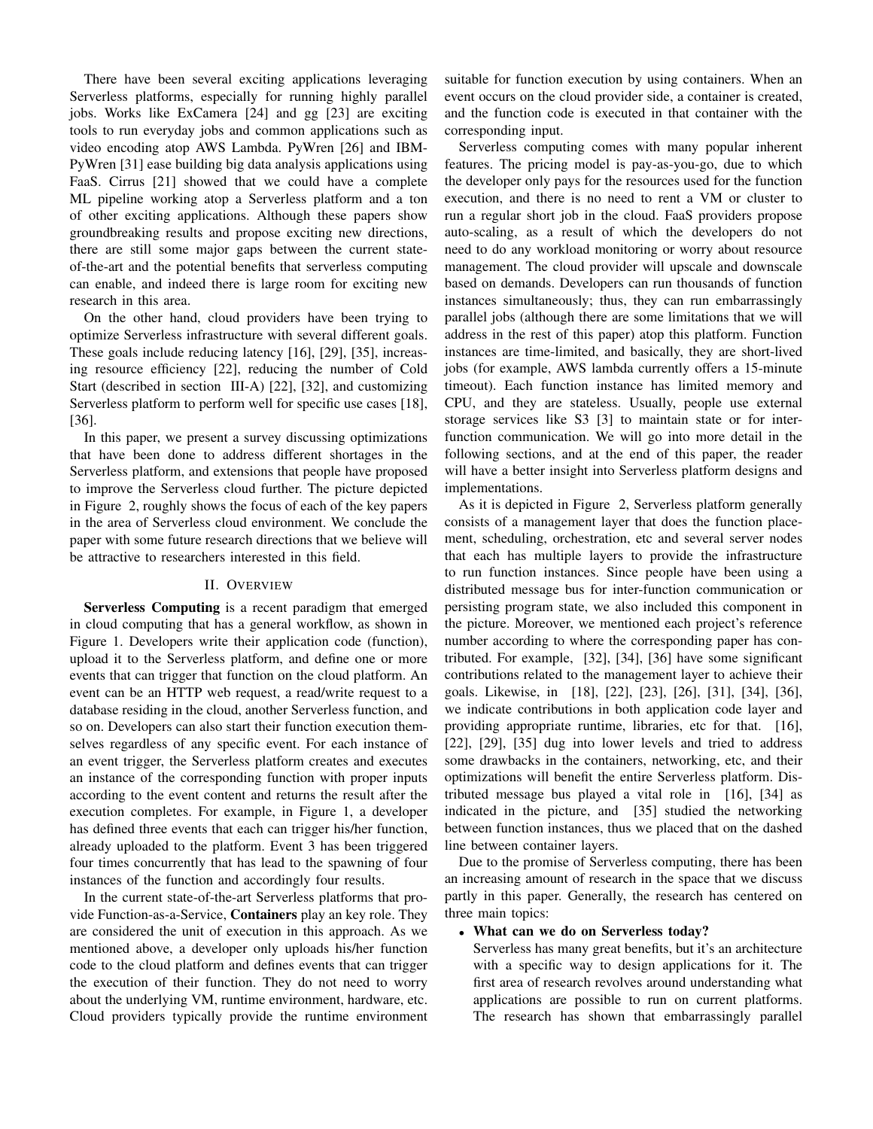There have been several exciting applications leveraging Serverless platforms, especially for running highly parallel jobs. Works like ExCamera [24] and gg [23] are exciting tools to run everyday jobs and common applications such as video encoding atop AWS Lambda. PyWren [26] and IBM-PyWren [31] ease building big data analysis applications using FaaS. Cirrus [21] showed that we could have a complete ML pipeline working atop a Serverless platform and a ton of other exciting applications. Although these papers show groundbreaking results and propose exciting new directions, there are still some major gaps between the current stateof-the-art and the potential benefits that serverless computing can enable, and indeed there is large room for exciting new research in this area.

On the other hand, cloud providers have been trying to optimize Serverless infrastructure with several different goals. These goals include reducing latency [16], [29], [35], increasing resource efficiency [22], reducing the number of Cold Start (described in section III-A) [22], [32], and customizing Serverless platform to perform well for specific use cases [18], [36].

In this paper, we present a survey discussing optimizations that have been done to address different shortages in the Serverless platform, and extensions that people have proposed to improve the Serverless cloud further. The picture depicted in Figure 2, roughly shows the focus of each of the key papers in the area of Serverless cloud environment. We conclude the paper with some future research directions that we believe will be attractive to researchers interested in this field.

## II. OVERVIEW

Serverless Computing is a recent paradigm that emerged in cloud computing that has a general workflow, as shown in Figure 1. Developers write their application code (function), upload it to the Serverless platform, and define one or more events that can trigger that function on the cloud platform. An event can be an HTTP web request, a read/write request to a database residing in the cloud, another Serverless function, and so on. Developers can also start their function execution themselves regardless of any specific event. For each instance of an event trigger, the Serverless platform creates and executes an instance of the corresponding function with proper inputs according to the event content and returns the result after the execution completes. For example, in Figure 1, a developer has defined three events that each can trigger his/her function, already uploaded to the platform. Event 3 has been triggered four times concurrently that has lead to the spawning of four instances of the function and accordingly four results.

In the current state-of-the-art Serverless platforms that provide Function-as-a-Service, Containers play an key role. They are considered the unit of execution in this approach. As we mentioned above, a developer only uploads his/her function code to the cloud platform and defines events that can trigger the execution of their function. They do not need to worry about the underlying VM, runtime environment, hardware, etc. Cloud providers typically provide the runtime environment suitable for function execution by using containers. When an event occurs on the cloud provider side, a container is created, and the function code is executed in that container with the corresponding input.

Serverless computing comes with many popular inherent features. The pricing model is pay-as-you-go, due to which the developer only pays for the resources used for the function execution, and there is no need to rent a VM or cluster to run a regular short job in the cloud. FaaS providers propose auto-scaling, as a result of which the developers do not need to do any workload monitoring or worry about resource management. The cloud provider will upscale and downscale based on demands. Developers can run thousands of function instances simultaneously; thus, they can run embarrassingly parallel jobs (although there are some limitations that we will address in the rest of this paper) atop this platform. Function instances are time-limited, and basically, they are short-lived jobs (for example, AWS lambda currently offers a 15-minute timeout). Each function instance has limited memory and CPU, and they are stateless. Usually, people use external storage services like S3 [3] to maintain state or for interfunction communication. We will go into more detail in the following sections, and at the end of this paper, the reader will have a better insight into Serverless platform designs and implementations.

As it is depicted in Figure 2, Serverless platform generally consists of a management layer that does the function placement, scheduling, orchestration, etc and several server nodes that each has multiple layers to provide the infrastructure to run function instances. Since people have been using a distributed message bus for inter-function communication or persisting program state, we also included this component in the picture. Moreover, we mentioned each project's reference number according to where the corresponding paper has contributed. For example, [32], [34], [36] have some significant contributions related to the management layer to achieve their goals. Likewise, in [18], [22], [23], [26], [31], [34], [36], we indicate contributions in both application code layer and providing appropriate runtime, libraries, etc for that. [16], [22], [29], [35] dug into lower levels and tried to address some drawbacks in the containers, networking, etc, and their optimizations will benefit the entire Serverless platform. Distributed message bus played a vital role in [16], [34] as indicated in the picture, and [35] studied the networking between function instances, thus we placed that on the dashed line between container layers.

Due to the promise of Serverless computing, there has been an increasing amount of research in the space that we discuss partly in this paper. Generally, the research has centered on three main topics:

#### • What can we do on Serverless today?

Serverless has many great benefits, but it's an architecture with a specific way to design applications for it. The first area of research revolves around understanding what applications are possible to run on current platforms. The research has shown that embarrassingly parallel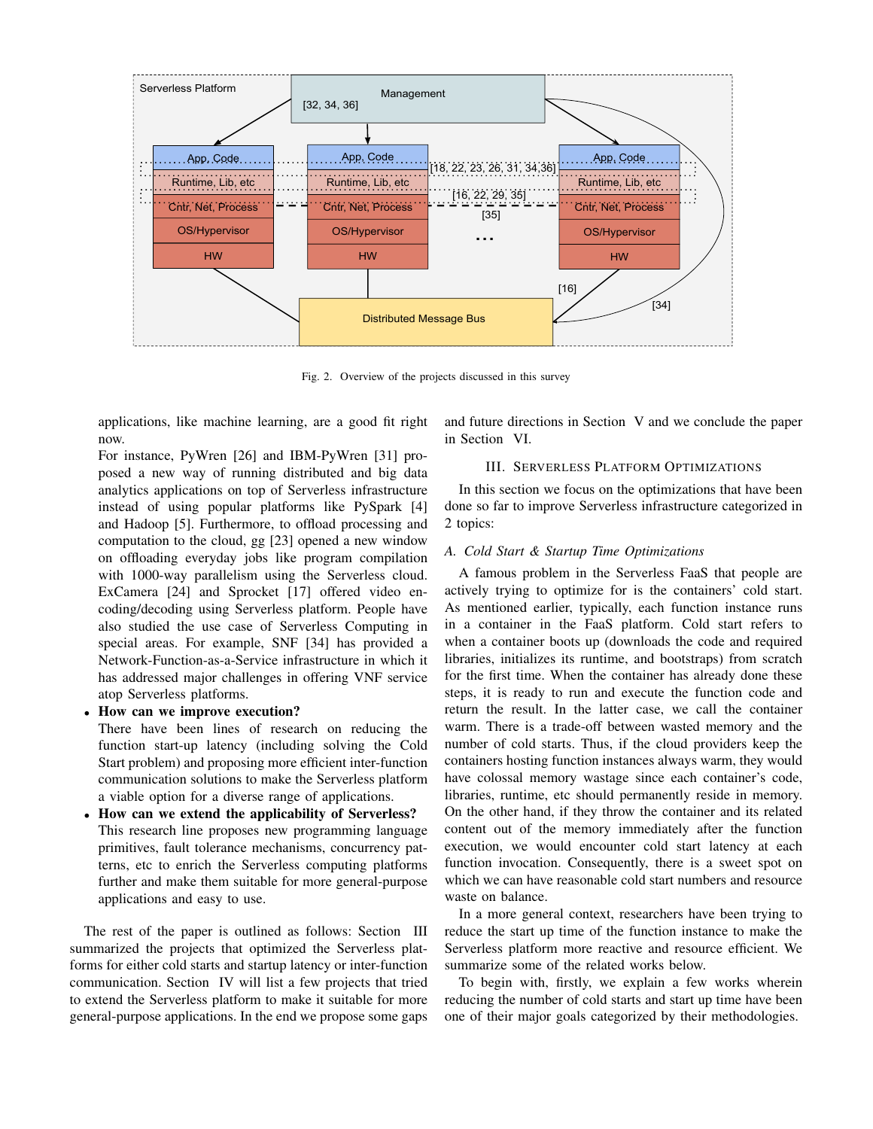

Fig. 2. Overview of the projects discussed in this survey

applications, like machine learning, are a good fit right now.

For instance, PyWren [26] and IBM-PyWren [31] proposed a new way of running distributed and big data analytics applications on top of Serverless infrastructure instead of using popular platforms like PySpark [4] and Hadoop [5]. Furthermore, to offload processing and computation to the cloud, gg [23] opened a new window on offloading everyday jobs like program compilation with 1000-way parallelism using the Serverless cloud. ExCamera [24] and Sprocket [17] offered video encoding/decoding using Serverless platform. People have also studied the use case of Serverless Computing in special areas. For example, SNF [34] has provided a Network-Function-as-a-Service infrastructure in which it has addressed major challenges in offering VNF service atop Serverless platforms.

## • How can we improve execution?

There have been lines of research on reducing the function start-up latency (including solving the Cold Start problem) and proposing more efficient inter-function communication solutions to make the Serverless platform a viable option for a diverse range of applications.

• How can we extend the applicability of Serverless? This research line proposes new programming language primitives, fault tolerance mechanisms, concurrency patterns, etc to enrich the Serverless computing platforms further and make them suitable for more general-purpose applications and easy to use.

The rest of the paper is outlined as follows: Section III summarized the projects that optimized the Serverless platforms for either cold starts and startup latency or inter-function communication. Section IV will list a few projects that tried to extend the Serverless platform to make it suitable for more general-purpose applications. In the end we propose some gaps

and future directions in Section V and we conclude the paper in Section VI.

# III. SERVERLESS PLATFORM OPTIMIZATIONS

In this section we focus on the optimizations that have been done so far to improve Serverless infrastructure categorized in 2 topics:

## *A. Cold Start & Startup Time Optimizations*

A famous problem in the Serverless FaaS that people are actively trying to optimize for is the containers' cold start. As mentioned earlier, typically, each function instance runs in a container in the FaaS platform. Cold start refers to when a container boots up (downloads the code and required libraries, initializes its runtime, and bootstraps) from scratch for the first time. When the container has already done these steps, it is ready to run and execute the function code and return the result. In the latter case, we call the container warm. There is a trade-off between wasted memory and the number of cold starts. Thus, if the cloud providers keep the containers hosting function instances always warm, they would have colossal memory wastage since each container's code, libraries, runtime, etc should permanently reside in memory. On the other hand, if they throw the container and its related content out of the memory immediately after the function execution, we would encounter cold start latency at each function invocation. Consequently, there is a sweet spot on which we can have reasonable cold start numbers and resource waste on balance.

In a more general context, researchers have been trying to reduce the start up time of the function instance to make the Serverless platform more reactive and resource efficient. We summarize some of the related works below.

To begin with, firstly, we explain a few works wherein reducing the number of cold starts and start up time have been one of their major goals categorized by their methodologies.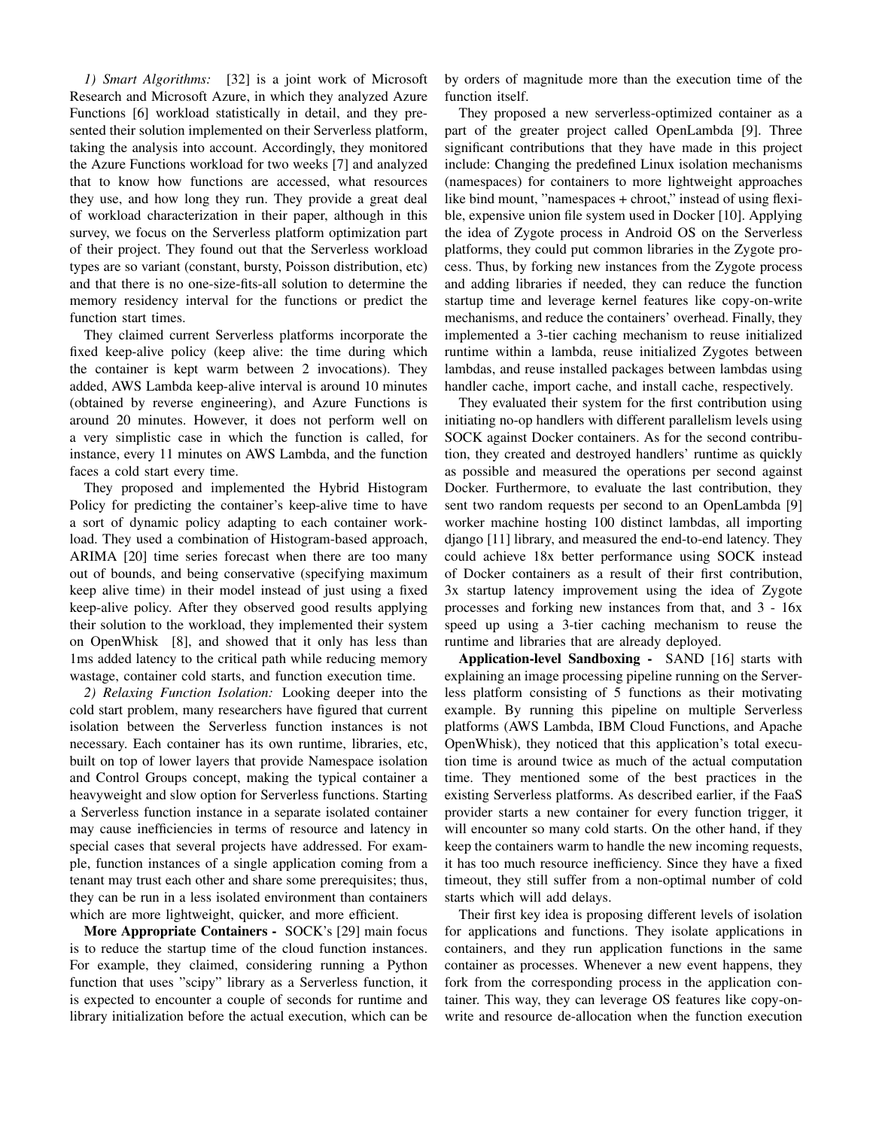*1) Smart Algorithms:* [32] is a joint work of Microsoft Research and Microsoft Azure, in which they analyzed Azure Functions [6] workload statistically in detail, and they presented their solution implemented on their Serverless platform, taking the analysis into account. Accordingly, they monitored the Azure Functions workload for two weeks [7] and analyzed that to know how functions are accessed, what resources they use, and how long they run. They provide a great deal of workload characterization in their paper, although in this survey, we focus on the Serverless platform optimization part of their project. They found out that the Serverless workload types are so variant (constant, bursty, Poisson distribution, etc) and that there is no one-size-fits-all solution to determine the memory residency interval for the functions or predict the function start times.

They claimed current Serverless platforms incorporate the fixed keep-alive policy (keep alive: the time during which the container is kept warm between 2 invocations). They added, AWS Lambda keep-alive interval is around 10 minutes (obtained by reverse engineering), and Azure Functions is around 20 minutes. However, it does not perform well on a very simplistic case in which the function is called, for instance, every 11 minutes on AWS Lambda, and the function faces a cold start every time.

They proposed and implemented the Hybrid Histogram Policy for predicting the container's keep-alive time to have a sort of dynamic policy adapting to each container workload. They used a combination of Histogram-based approach, ARIMA [20] time series forecast when there are too many out of bounds, and being conservative (specifying maximum keep alive time) in their model instead of just using a fixed keep-alive policy. After they observed good results applying their solution to the workload, they implemented their system on OpenWhisk [8], and showed that it only has less than 1ms added latency to the critical path while reducing memory wastage, container cold starts, and function execution time.

*2) Relaxing Function Isolation:* Looking deeper into the cold start problem, many researchers have figured that current isolation between the Serverless function instances is not necessary. Each container has its own runtime, libraries, etc, built on top of lower layers that provide Namespace isolation and Control Groups concept, making the typical container a heavyweight and slow option for Serverless functions. Starting a Serverless function instance in a separate isolated container may cause inefficiencies in terms of resource and latency in special cases that several projects have addressed. For example, function instances of a single application coming from a tenant may trust each other and share some prerequisites; thus, they can be run in a less isolated environment than containers which are more lightweight, quicker, and more efficient.

More Appropriate Containers - SOCK's [29] main focus is to reduce the startup time of the cloud function instances. For example, they claimed, considering running a Python function that uses "scipy" library as a Serverless function, it is expected to encounter a couple of seconds for runtime and library initialization before the actual execution, which can be by orders of magnitude more than the execution time of the function itself.

They proposed a new serverless-optimized container as a part of the greater project called OpenLambda [9]. Three significant contributions that they have made in this project include: Changing the predefined Linux isolation mechanisms (namespaces) for containers to more lightweight approaches like bind mount, "namespaces + chroot," instead of using flexible, expensive union file system used in Docker [10]. Applying the idea of Zygote process in Android OS on the Serverless platforms, they could put common libraries in the Zygote process. Thus, by forking new instances from the Zygote process and adding libraries if needed, they can reduce the function startup time and leverage kernel features like copy-on-write mechanisms, and reduce the containers' overhead. Finally, they implemented a 3-tier caching mechanism to reuse initialized runtime within a lambda, reuse initialized Zygotes between lambdas, and reuse installed packages between lambdas using handler cache, import cache, and install cache, respectively.

They evaluated their system for the first contribution using initiating no-op handlers with different parallelism levels using SOCK against Docker containers. As for the second contribution, they created and destroyed handlers' runtime as quickly as possible and measured the operations per second against Docker. Furthermore, to evaluate the last contribution, they sent two random requests per second to an OpenLambda [9] worker machine hosting 100 distinct lambdas, all importing django [11] library, and measured the end-to-end latency. They could achieve 18x better performance using SOCK instead of Docker containers as a result of their first contribution, 3x startup latency improvement using the idea of Zygote processes and forking new instances from that, and 3 - 16x speed up using a 3-tier caching mechanism to reuse the runtime and libraries that are already deployed.

Application-level Sandboxing - SAND [16] starts with explaining an image processing pipeline running on the Serverless platform consisting of 5 functions as their motivating example. By running this pipeline on multiple Serverless platforms (AWS Lambda, IBM Cloud Functions, and Apache OpenWhisk), they noticed that this application's total execution time is around twice as much of the actual computation time. They mentioned some of the best practices in the existing Serverless platforms. As described earlier, if the FaaS provider starts a new container for every function trigger, it will encounter so many cold starts. On the other hand, if they keep the containers warm to handle the new incoming requests, it has too much resource inefficiency. Since they have a fixed timeout, they still suffer from a non-optimal number of cold starts which will add delays.

Their first key idea is proposing different levels of isolation for applications and functions. They isolate applications in containers, and they run application functions in the same container as processes. Whenever a new event happens, they fork from the corresponding process in the application container. This way, they can leverage OS features like copy-onwrite and resource de-allocation when the function execution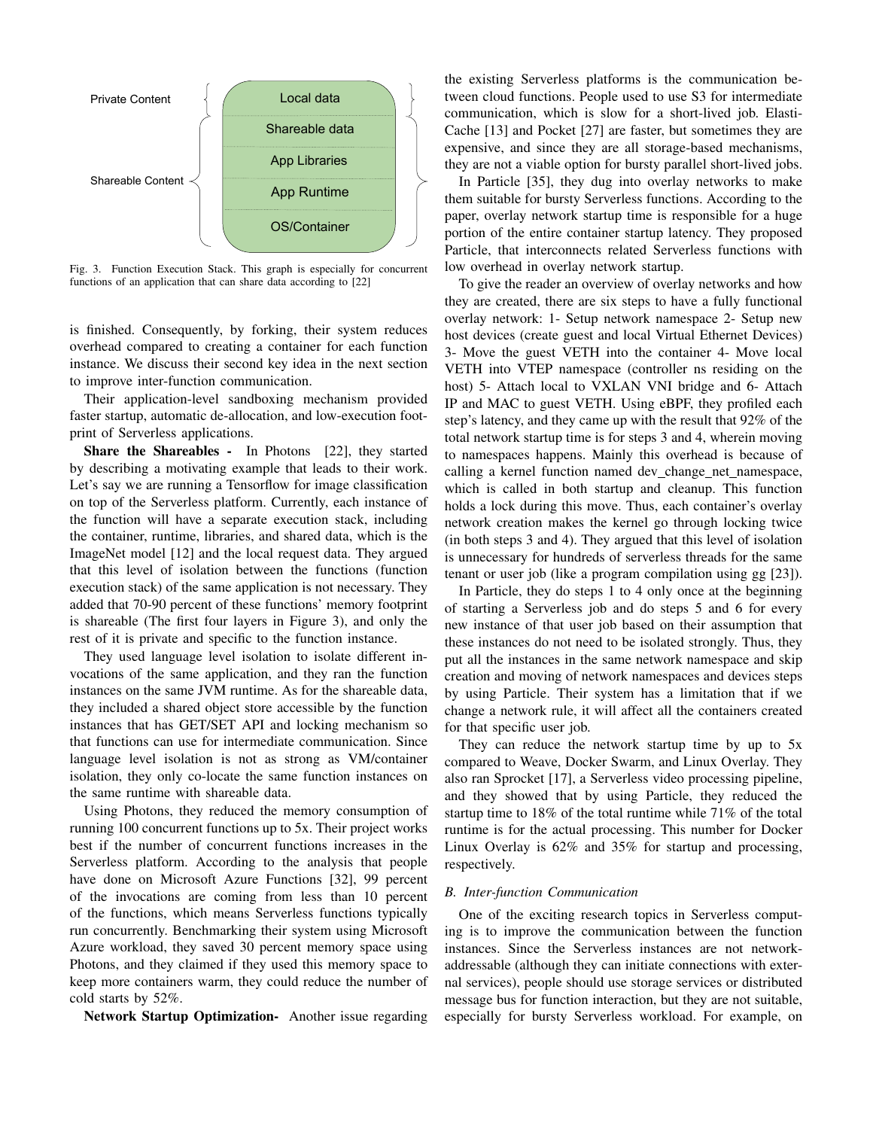

Fig. 3. Function Execution Stack. This graph is especially for concurrent functions of an application that can share data according to [22]

is finished. Consequently, by forking, their system reduces overhead compared to creating a container for each function instance. We discuss their second key idea in the next section to improve inter-function communication.

Their application-level sandboxing mechanism provided faster startup, automatic de-allocation, and low-execution footprint of Serverless applications.

Share the Shareables - In Photons [22], they started by describing a motivating example that leads to their work. Let's say we are running a Tensorflow for image classification on top of the Serverless platform. Currently, each instance of the function will have a separate execution stack, including the container, runtime, libraries, and shared data, which is the ImageNet model [12] and the local request data. They argued that this level of isolation between the functions (function execution stack) of the same application is not necessary. They added that 70-90 percent of these functions' memory footprint is shareable (The first four layers in Figure 3), and only the rest of it is private and specific to the function instance.

They used language level isolation to isolate different invocations of the same application, and they ran the function instances on the same JVM runtime. As for the shareable data, they included a shared object store accessible by the function instances that has GET/SET API and locking mechanism so that functions can use for intermediate communication. Since language level isolation is not as strong as VM/container isolation, they only co-locate the same function instances on the same runtime with shareable data.

Using Photons, they reduced the memory consumption of running 100 concurrent functions up to 5x. Their project works best if the number of concurrent functions increases in the Serverless platform. According to the analysis that people have done on Microsoft Azure Functions [32], 99 percent of the invocations are coming from less than 10 percent of the functions, which means Serverless functions typically run concurrently. Benchmarking their system using Microsoft Azure workload, they saved 30 percent memory space using Photons, and they claimed if they used this memory space to keep more containers warm, they could reduce the number of cold starts by 52%.

Network Startup Optimization- Another issue regarding

the existing Serverless platforms is the communication between cloud functions. People used to use S3 for intermediate communication, which is slow for a short-lived job. Elasti-Cache [13] and Pocket [27] are faster, but sometimes they are expensive, and since they are all storage-based mechanisms, they are not a viable option for bursty parallel short-lived jobs.

In Particle [35], they dug into overlay networks to make them suitable for bursty Serverless functions. According to the paper, overlay network startup time is responsible for a huge portion of the entire container startup latency. They proposed Particle, that interconnects related Serverless functions with low overhead in overlay network startup.

To give the reader an overview of overlay networks and how they are created, there are six steps to have a fully functional overlay network: 1- Setup network namespace 2- Setup new host devices (create guest and local Virtual Ethernet Devices) 3- Move the guest VETH into the container 4- Move local VETH into VTEP namespace (controller ns residing on the host) 5- Attach local to VXLAN VNI bridge and 6- Attach IP and MAC to guest VETH. Using eBPF, they profiled each step's latency, and they came up with the result that 92% of the total network startup time is for steps 3 and 4, wherein moving to namespaces happens. Mainly this overhead is because of calling a kernel function named dev change net namespace, which is called in both startup and cleanup. This function holds a lock during this move. Thus, each container's overlay network creation makes the kernel go through locking twice (in both steps 3 and 4). They argued that this level of isolation is unnecessary for hundreds of serverless threads for the same tenant or user job (like a program compilation using gg [23]).

In Particle, they do steps 1 to 4 only once at the beginning of starting a Serverless job and do steps 5 and 6 for every new instance of that user job based on their assumption that these instances do not need to be isolated strongly. Thus, they put all the instances in the same network namespace and skip creation and moving of network namespaces and devices steps by using Particle. Their system has a limitation that if we change a network rule, it will affect all the containers created for that specific user job.

They can reduce the network startup time by up to 5x compared to Weave, Docker Swarm, and Linux Overlay. They also ran Sprocket [17], a Serverless video processing pipeline, and they showed that by using Particle, they reduced the startup time to 18% of the total runtime while 71% of the total runtime is for the actual processing. This number for Docker Linux Overlay is 62% and 35% for startup and processing, respectively.

## *B. Inter-function Communication*

One of the exciting research topics in Serverless computing is to improve the communication between the function instances. Since the Serverless instances are not networkaddressable (although they can initiate connections with external services), people should use storage services or distributed message bus for function interaction, but they are not suitable, especially for bursty Serverless workload. For example, on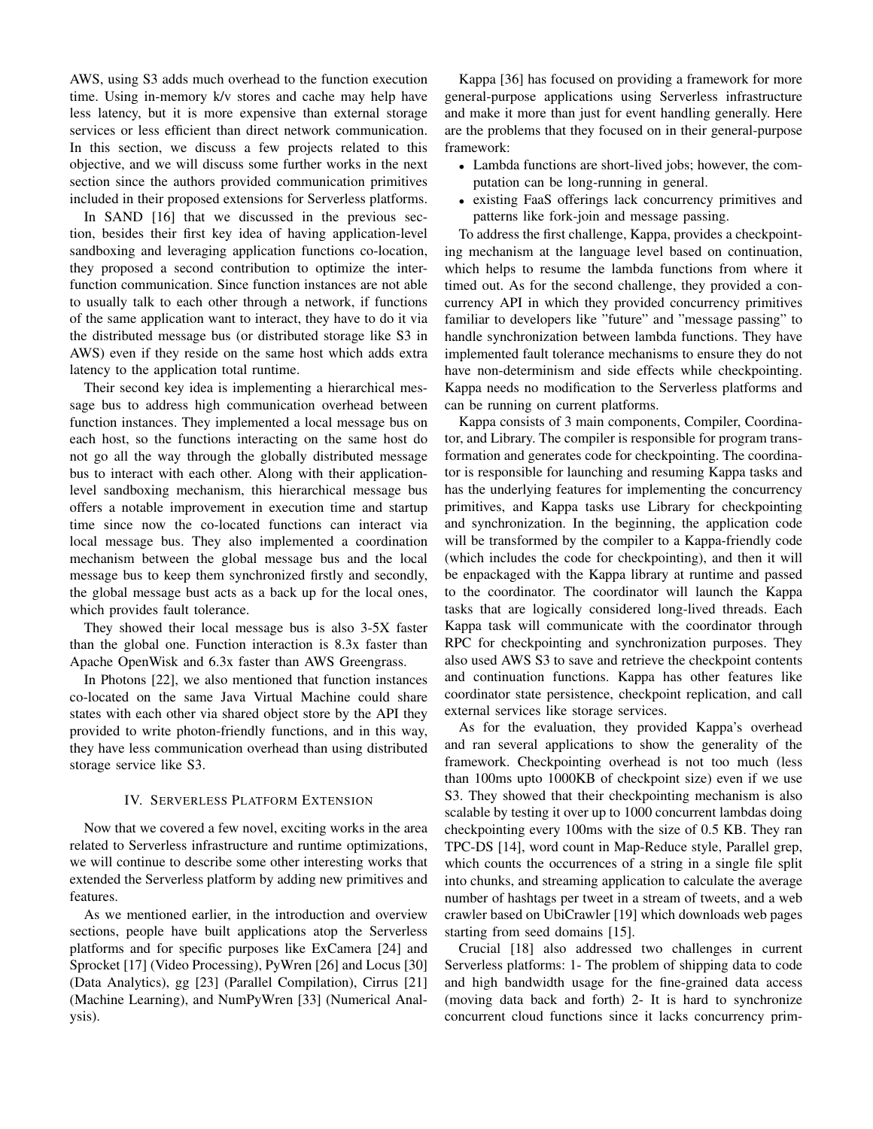AWS, using S3 adds much overhead to the function execution time. Using in-memory k/v stores and cache may help have less latency, but it is more expensive than external storage services or less efficient than direct network communication. In this section, we discuss a few projects related to this objective, and we will discuss some further works in the next section since the authors provided communication primitives included in their proposed extensions for Serverless platforms.

In SAND [16] that we discussed in the previous section, besides their first key idea of having application-level sandboxing and leveraging application functions co-location, they proposed a second contribution to optimize the interfunction communication. Since function instances are not able to usually talk to each other through a network, if functions of the same application want to interact, they have to do it via the distributed message bus (or distributed storage like S3 in AWS) even if they reside on the same host which adds extra latency to the application total runtime.

Their second key idea is implementing a hierarchical message bus to address high communication overhead between function instances. They implemented a local message bus on each host, so the functions interacting on the same host do not go all the way through the globally distributed message bus to interact with each other. Along with their applicationlevel sandboxing mechanism, this hierarchical message bus offers a notable improvement in execution time and startup time since now the co-located functions can interact via local message bus. They also implemented a coordination mechanism between the global message bus and the local message bus to keep them synchronized firstly and secondly, the global message bust acts as a back up for the local ones, which provides fault tolerance.

They showed their local message bus is also 3-5X faster than the global one. Function interaction is 8.3x faster than Apache OpenWisk and 6.3x faster than AWS Greengrass.

In Photons [22], we also mentioned that function instances co-located on the same Java Virtual Machine could share states with each other via shared object store by the API they provided to write photon-friendly functions, and in this way, they have less communication overhead than using distributed storage service like S3.

## IV. SERVERLESS PLATFORM EXTENSION

Now that we covered a few novel, exciting works in the area related to Serverless infrastructure and runtime optimizations, we will continue to describe some other interesting works that extended the Serverless platform by adding new primitives and features.

As we mentioned earlier, in the introduction and overview sections, people have built applications atop the Serverless platforms and for specific purposes like ExCamera [24] and Sprocket [17] (Video Processing), PyWren [26] and Locus [30] (Data Analytics), gg [23] (Parallel Compilation), Cirrus [21] (Machine Learning), and NumPyWren [33] (Numerical Analysis).

Kappa [36] has focused on providing a framework for more general-purpose applications using Serverless infrastructure and make it more than just for event handling generally. Here are the problems that they focused on in their general-purpose framework:

- Lambda functions are short-lived jobs; however, the computation can be long-running in general.
- existing FaaS offerings lack concurrency primitives and patterns like fork-join and message passing.

To address the first challenge, Kappa, provides a checkpointing mechanism at the language level based on continuation, which helps to resume the lambda functions from where it timed out. As for the second challenge, they provided a concurrency API in which they provided concurrency primitives familiar to developers like "future" and "message passing" to handle synchronization between lambda functions. They have implemented fault tolerance mechanisms to ensure they do not have non-determinism and side effects while checkpointing. Kappa needs no modification to the Serverless platforms and can be running on current platforms.

Kappa consists of 3 main components, Compiler, Coordinator, and Library. The compiler is responsible for program transformation and generates code for checkpointing. The coordinator is responsible for launching and resuming Kappa tasks and has the underlying features for implementing the concurrency primitives, and Kappa tasks use Library for checkpointing and synchronization. In the beginning, the application code will be transformed by the compiler to a Kappa-friendly code (which includes the code for checkpointing), and then it will be enpackaged with the Kappa library at runtime and passed to the coordinator. The coordinator will launch the Kappa tasks that are logically considered long-lived threads. Each Kappa task will communicate with the coordinator through RPC for checkpointing and synchronization purposes. They also used AWS S3 to save and retrieve the checkpoint contents and continuation functions. Kappa has other features like coordinator state persistence, checkpoint replication, and call external services like storage services.

As for the evaluation, they provided Kappa's overhead and ran several applications to show the generality of the framework. Checkpointing overhead is not too much (less than 100ms upto 1000KB of checkpoint size) even if we use S3. They showed that their checkpointing mechanism is also scalable by testing it over up to 1000 concurrent lambdas doing checkpointing every 100ms with the size of 0.5 KB. They ran TPC-DS [14], word count in Map-Reduce style, Parallel grep, which counts the occurrences of a string in a single file split into chunks, and streaming application to calculate the average number of hashtags per tweet in a stream of tweets, and a web crawler based on UbiCrawler [19] which downloads web pages starting from seed domains [15].

Crucial [18] also addressed two challenges in current Serverless platforms: 1- The problem of shipping data to code and high bandwidth usage for the fine-grained data access (moving data back and forth) 2- It is hard to synchronize concurrent cloud functions since it lacks concurrency prim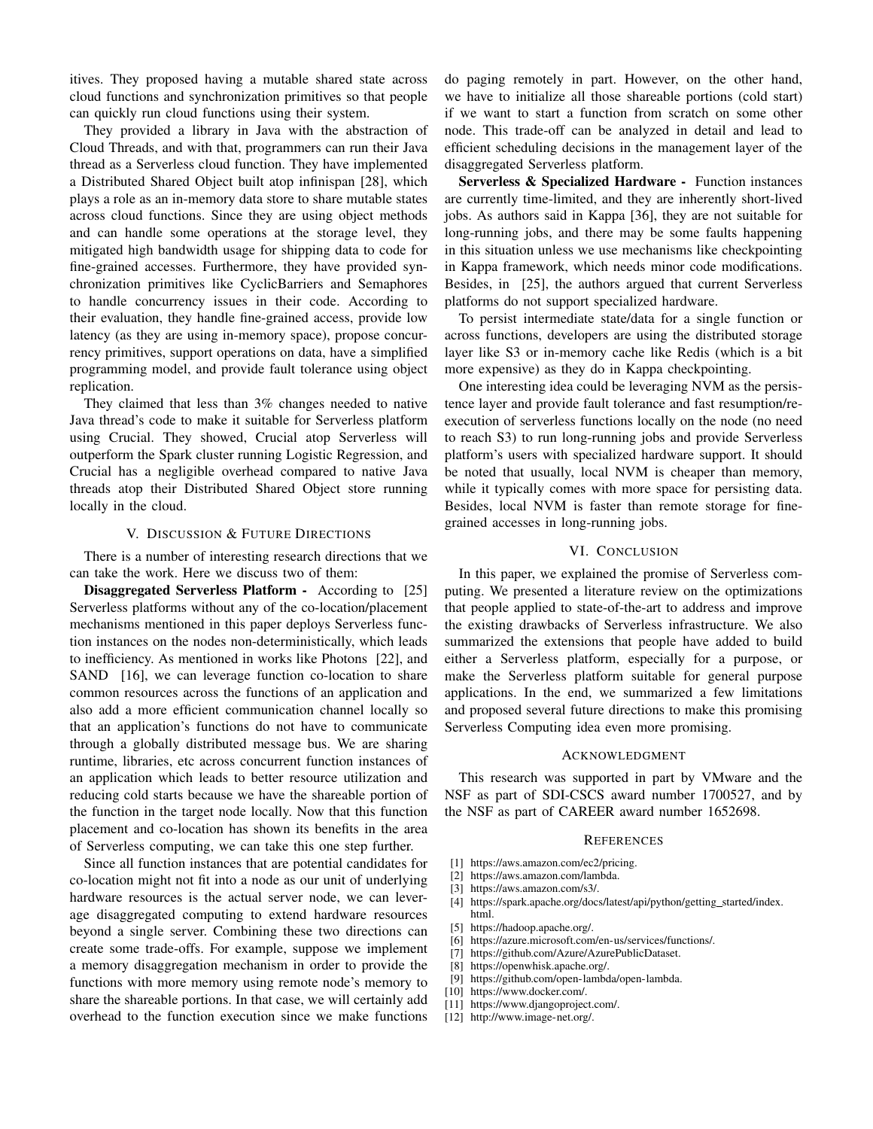itives. They proposed having a mutable shared state across cloud functions and synchronization primitives so that people can quickly run cloud functions using their system.

They provided a library in Java with the abstraction of Cloud Threads, and with that, programmers can run their Java thread as a Serverless cloud function. They have implemented a Distributed Shared Object built atop infinispan [28], which plays a role as an in-memory data store to share mutable states across cloud functions. Since they are using object methods and can handle some operations at the storage level, they mitigated high bandwidth usage for shipping data to code for fine-grained accesses. Furthermore, they have provided synchronization primitives like CyclicBarriers and Semaphores to handle concurrency issues in their code. According to their evaluation, they handle fine-grained access, provide low latency (as they are using in-memory space), propose concurrency primitives, support operations on data, have a simplified programming model, and provide fault tolerance using object replication.

They claimed that less than 3% changes needed to native Java thread's code to make it suitable for Serverless platform using Crucial. They showed, Crucial atop Serverless will outperform the Spark cluster running Logistic Regression, and Crucial has a negligible overhead compared to native Java threads atop their Distributed Shared Object store running locally in the cloud.

## V. DISCUSSION & FUTURE DIRECTIONS

There is a number of interesting research directions that we can take the work. Here we discuss two of them:

Disaggregated Serverless Platform - According to [25] Serverless platforms without any of the co-location/placement mechanisms mentioned in this paper deploys Serverless function instances on the nodes non-deterministically, which leads to inefficiency. As mentioned in works like Photons [22], and SAND [16], we can leverage function co-location to share common resources across the functions of an application and also add a more efficient communication channel locally so that an application's functions do not have to communicate through a globally distributed message bus. We are sharing runtime, libraries, etc across concurrent function instances of an application which leads to better resource utilization and reducing cold starts because we have the shareable portion of the function in the target node locally. Now that this function placement and co-location has shown its benefits in the area of Serverless computing, we can take this one step further.

Since all function instances that are potential candidates for co-location might not fit into a node as our unit of underlying hardware resources is the actual server node, we can leverage disaggregated computing to extend hardware resources beyond a single server. Combining these two directions can create some trade-offs. For example, suppose we implement a memory disaggregation mechanism in order to provide the functions with more memory using remote node's memory to share the shareable portions. In that case, we will certainly add overhead to the function execution since we make functions

do paging remotely in part. However, on the other hand, we have to initialize all those shareable portions (cold start) if we want to start a function from scratch on some other node. This trade-off can be analyzed in detail and lead to efficient scheduling decisions in the management layer of the disaggregated Serverless platform.

Serverless & Specialized Hardware - Function instances are currently time-limited, and they are inherently short-lived jobs. As authors said in Kappa [36], they are not suitable for long-running jobs, and there may be some faults happening in this situation unless we use mechanisms like checkpointing in Kappa framework, which needs minor code modifications. Besides, in [25], the authors argued that current Serverless platforms do not support specialized hardware.

To persist intermediate state/data for a single function or across functions, developers are using the distributed storage layer like S3 or in-memory cache like Redis (which is a bit more expensive) as they do in Kappa checkpointing.

One interesting idea could be leveraging NVM as the persistence layer and provide fault tolerance and fast resumption/reexecution of serverless functions locally on the node (no need to reach S3) to run long-running jobs and provide Serverless platform's users with specialized hardware support. It should be noted that usually, local NVM is cheaper than memory, while it typically comes with more space for persisting data. Besides, local NVM is faster than remote storage for finegrained accesses in long-running jobs.

#### VI. CONCLUSION

In this paper, we explained the promise of Serverless computing. We presented a literature review on the optimizations that people applied to state-of-the-art to address and improve the existing drawbacks of Serverless infrastructure. We also summarized the extensions that people have added to build either a Serverless platform, especially for a purpose, or make the Serverless platform suitable for general purpose applications. In the end, we summarized a few limitations and proposed several future directions to make this promising Serverless Computing idea even more promising.

#### ACKNOWLEDGMENT

This research was supported in part by VMware and the NSF as part of SDI-CSCS award number 1700527, and by the NSF as part of CAREER award number 1652698.

#### **REFERENCES**

- [1] https://aws.amazon.com/ec2/pricing.
- [2] https://aws.amazon.com/lambda.
- [3] https://aws.amazon.com/s3/.
- [4] https://spark.apache.org/docs/latest/api/python/getting\_started/index.
- html. [5] https://hadoop.apache.org/.
- [6] https://azure.microsoft.com/en-us/services/functions/.
- [7] https://github.com/Azure/AzurePublicDataset.
- [8] https://openwhisk.apache.org/.
- [9] https://github.com/open-lambda/open-lambda.
- [10] https://www.docker.com/.
- [11] https://www.djangoproject.com/.
- [12] http://www.image-net.org/.